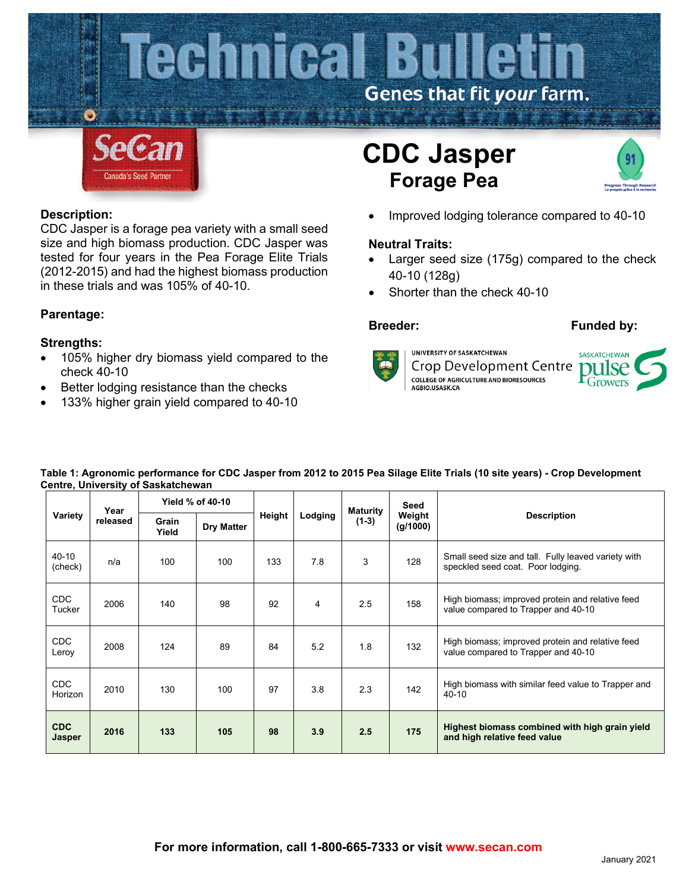

### **Description:**

CDC Jasper is a forage pea variety with a small seed size and high biomass production. CDC Jasper was tested for four years in the Pea Forage Elite Trials (2012-2015) and had the highest biomass production in these trials and was 105% of 40-10.

## **Parentage:**

### **Strengths:**

- 105% higher dry biomass yield compared to the check 40-10
- Better lodging resistance than the checks
- 133% higher grain yield compared to 40-10



• Improved lodging tolerance compared to 40-10

### **Neutral Traits:**

- Larger seed size (175g) compared to the check 40-10 (128g)
- Shorter than the check 40-10

### **Breeder: Funded by:**

UNIVERSITY OF SASKATCHEWAN **Crop Development Centre COLLEGE OF AGRICULTURE AND BIORESOURCES**<br>AGBIO.USASK.CA



| Table 1: Agronomic performance for CDC Jasper from 2012 to 2015 Pea Silage Elite Trials (10 site years) - Crop Development |  |
|----------------------------------------------------------------------------------------------------------------------------|--|
| <b>Centre, University of Saskatchewan</b>                                                                                  |  |

| Variety                     | Year<br>released |                | Yield % of 40-10  |        |         | <b>Maturity</b> | Seed               |                                                                                          |  |  |
|-----------------------------|------------------|----------------|-------------------|--------|---------|-----------------|--------------------|------------------------------------------------------------------------------------------|--|--|
|                             |                  | Grain<br>Yield | <b>Dry Matter</b> | Height | Lodging | $(1-3)$         | Weight<br>(g/1000) | <b>Description</b>                                                                       |  |  |
| 40-10<br>(check)            | n/a              | 100            | 100               | 133    | 7.8     | 3               | 128                | Small seed size and tall. Fully leaved variety with<br>speckled seed coat. Poor lodging. |  |  |
| CDC<br>Tucker               | 2006             | 140            | 98                | 92     | 4       | 2.5             | 158                | High biomass; improved protein and relative feed<br>value compared to Trapper and 40-10  |  |  |
| CDC<br>Leroy                | 2008             | 124            | 89                | 84     | 5.2     | 1.8             | 132                | High biomass; improved protein and relative feed<br>value compared to Trapper and 40-10  |  |  |
| <b>CDC</b><br>Horizon       | 2010             | 130            | 100               | 97     | 3.8     | 2.3             | 142                | High biomass with similar feed value to Trapper and<br>40-10                             |  |  |
| <b>CDC</b><br><b>Jasper</b> | 2016             | 133            | 105               | 98     | 3.9     | 2.5             | 175                | Highest biomass combined with high grain yield<br>and high relative feed value           |  |  |